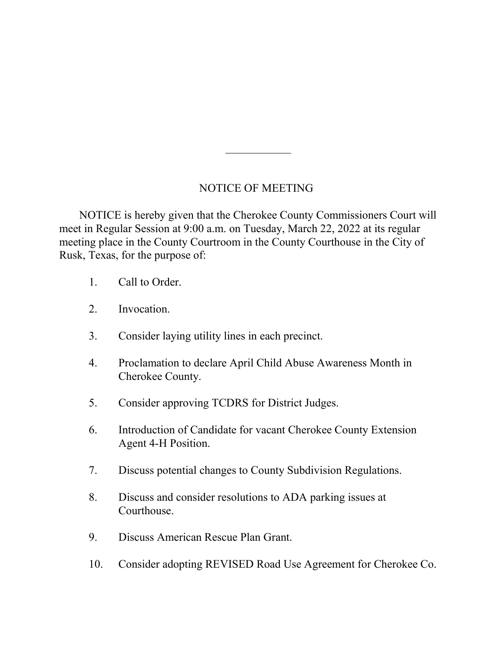## NOTICE OF MEETING

 NOTICE is hereby given that the Cherokee County Commissioners Court will meet in Regular Session at 9:00 a.m. on Tuesday, March 22, 2022 at its regular meeting place in the County Courtroom in the County Courthouse in the City of Rusk, Texas, for the purpose of:

- 1. Call to Order.
- 2. Invocation.
- 3. Consider laying utility lines in each precinct.
- 4. Proclamation to declare April Child Abuse Awareness Month in Cherokee County.
- 5. Consider approving TCDRS for District Judges.
- 6. Introduction of Candidate for vacant Cherokee County Extension Agent 4-H Position.
- 7. Discuss potential changes to County Subdivision Regulations.
- 8. Discuss and consider resolutions to ADA parking issues at Courthouse.
- 9. Discuss American Rescue Plan Grant.
- 10. Consider adopting REVISED Road Use Agreement for Cherokee Co.